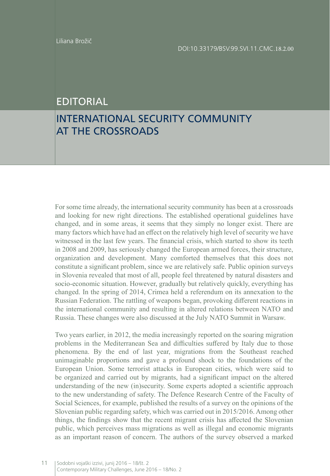## EDITORIAL

## INTERNATIONAL SECURITY COMMUNITY AT THE CROSSROADS

For some time already, the international security community has been at a crossroads and looking for new right directions. The established operational guidelines have changed, and in some areas, it seems that they simply no longer exist. There are many factors which have had an effect on the relatively high level of security we have witnessed in the last few years. The financial crisis, which started to show its teeth in 2008 and 2009, has seriously changed the European armed forces, their structure, organization and development. Many comforted themselves that this does not constitute a significant problem, since we are relatively safe. Public opinion surveys in Slovenia revealed that most of all, people feel threatened by natural disasters and socio-economic situation. However, gradually but relatively quickly, everything has changed. In the spring of 2014, Crimea held a referendum on its annexation to the Russian Federation. The rattling of weapons began, provoking different reactions in the international community and resulting in altered relations between NATO and Russia. These changes were also discussed at the July NATO Summit in Warsaw.

Two years earlier, in 2012, the media increasingly reported on the soaring migration problems in the Mediterranean Sea and difficulties suffered by Italy due to those phenomena. By the end of last year, migrations from the Southeast reached unimaginable proportions and gave a profound shock to the foundations of the European Union. Some terrorist attacks in European cities, which were said to be organized and carried out by migrants, had a significant impact on the altered understanding of the new (in)security. Some experts adopted a scientific approach to the new understanding of safety. The Defence Research Centre of the Faculty of Social Sciences, for example, published the results of a survey on the opinions of the Slovenian public regarding safety, which was carried out in 2015/2016. Among other things, the findings show that the recent migrant crisis has affected the Slovenian public, which perceives mass migrations as well as illegal and economic migrants as an important reason of concern. The authors of the survey observed a marked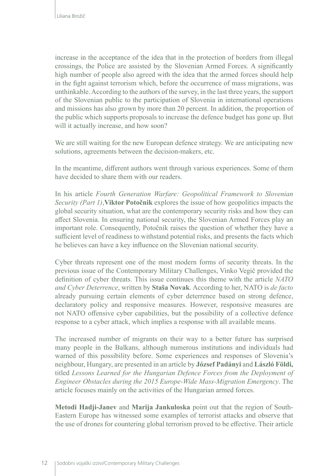increase in the acceptance of the idea that in the protection of borders from illegal crossings, the Police are assisted by the Slovenian Armed Forces. A significantly high number of people also agreed with the idea that the armed forces should help in the fight against terrorism which, before the occurrence of mass migrations, was unthinkable. According to the authors of the survey, in the last three years, the support of the Slovenian public to the participation of Slovenia in international operations and missions has also grown by more than 20 percent. In addition, the proportion of the public which supports proposals to increase the defence budget has gone up. But will it actually increase, and how soon?

We are still waiting for the new European defence strategy. We are anticipating new solutions, agreements between the decision-makers, etc.

In the meantime, different authors went through various experiences. Some of them have decided to share them with our readers.

In his article *Fourth Generation Warfare: Geopolitical Framework to Slovenian Security (Part 1)*,**Viktor Potočnik** explores the issue of how geopolitics impacts the global security situation, what are the contemporary security risks and how they can affect Slovenia. In ensuring national security, the Slovenian Armed Forces play an important role. Consequently, Potočnik raises the question of whether they have a sufficient level of readiness to withstand potential risks, and presents the facts which he believes can have a key influence on the Slovenian national security.

Cyber threats represent one of the most modern forms of security threats. In the previous issue of the Contemporary Military Challenges, Vinko Vegič provided the definition of cyber threats. This issue continues this theme with the article *NATO and Cyber Deterrence*, written by **Staša Novak**. According to her, NATO is *de facto* already pursuing certain elements of cyber deterrence based on strong defence, declaratory policy and responsive measures. However, responsive measures are not NATO offensive cyber capabilities, but the possibility of a collective defence response to a cyber attack, which implies a response with all available means.

The increased number of migrants on their way to a better future has surprised many people in the Balkans, although numerous institutions and individuals had warned of this possibility before. Some experiences and responses of Slovenia's neighbour, Hungary, are presented in an article by **József Padányi** and **László Földi,**  titled *Lessons Learned for the Hungarian Defence Forces from the Deployment of Engineer Obstacles during the 2015 Europe-Wide Mass-Migration Emergency*. The article focuses mainly on the activities of the Hungarian armed forces.

**Metodi Hadji-Janev** and **Marija Jankuloska** point out that the region of South-Eastern Europe has witnessed some examples of terrorist attacks and observe that the use of drones for countering global terrorism proved to be effective. Their article